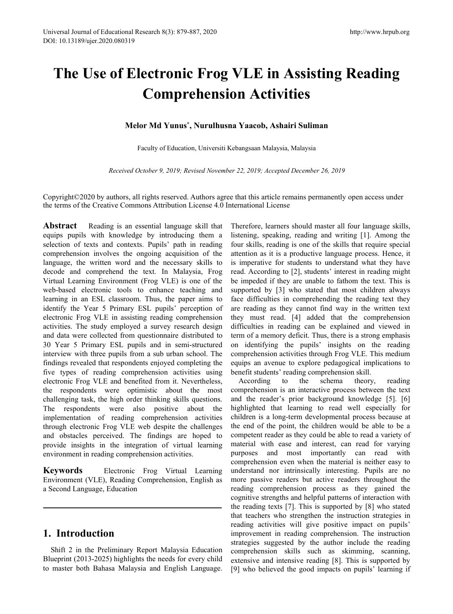# **The Use of Electronic Frog VLE in Assisting Reading Comprehension Activities**

## **Melor Md Yunus \* , Nurulhusna Yaacob, Ashairi Suliman**

Faculty of Education, Universiti [Kebangsaan](mailto:ssr@online-engineering.org) Malaysia, Malaysia

*Received October 9, 2019; Revised November 22, 2019; Accepted December 26, 2019*

Copyright©2020 by authors, all rights reserved. Authors agree that this article remains permanently open access under the terms of the Creative Commons Attribution License 4.0 International License

electronic Frog VLE and benefited from it. Nevertheless, the respondents were optimistic about the most challenging task, the high order thinking skills questions. The respondents were also positive about the implementation of reading comprehension activities through electronic Frog VLE web despite the challenges and obstacles perceived. The findings are hoped to provide insights in the integration of virtual learning environment in reading comprehension activities. **Abstract** Reading is an essential language skill that Therefore, learners should master all four language skills, equips pupils with knowledge by introducing them a listening, speaking, reading and writing [1]. Among the selection of texts and contexts. Pupils' path in reading four skills, reading is one of the skills that require special comprehension involves the ongoing acquisition of the attention as it is a productive language process. Hence, it language, the written word and the necessary skills to is imperative for students to understand what they have decode and comprehend the text. In Malaysia, Frog read. According to [2], students' interest in reading might Virtual Learning Environment (Frog VLE) is one of the be impeded if they are unable to fathom the text. This is web-based electronic tools to enhance teaching and supported by [3] who stated that most children always learning in an ESL classroom. Thus, the paper aims to face difficulties in comprehending the reading text they identify the Year 5 Primary ESL pupils' perception of are reading as they cannot find way in the written text electronic Frog VLE in assisting reading comprehension they must read. [4] added that the comprehension activities. The study employed a survey research design difficulties in reading can be explained and viewed in and data were collected from questionnaire distributed to term of a memory deficit. Thus, there is a strong emphasis 30 Year 5 Primary ESL pupils and in semi-structured on identifying the pupils' insights on the reading interview with three pupils from a sub urban school. The comprehension activities through Frog VLE. This medium findings revealed that respondents enjoyed completing the equips an avenue to explore pedagogical implications to five types of reading comprehension activities using benefit students' reading comprehension skill.

**Keywords** Electronic Frog Virtual Learning Environment (VLE), Reading Comprehension, English as a Second Language, Education

# **1. Introduction**

Shift 2 in the Preliminary Report Malaysia Education Blueprint (2013-2025) highlights the needs for every child to master both Bahasa Malaysia and English Language.

According to the schema theory, reading comprehension is an interactive process between the text and the reader's prior background knowledge [5]. [6] highlighted that learning to read well especially for children is a long-term developmental process because at the end of the point, the children would be able to be a competent reader as they could be able to read a variety of material with ease and interest, can read for varying purposes and most importantly can read with comprehension even when the material is neither easy to understand nor intrinsically interesting. Pupils are no more passive readers but active readers throughout the reading comprehension process as they gained the cognitive strengths and helpful patterns of interaction with the reading texts [7]. This is supported by [8] who stated that teachers who strengthen the instruction strategies in reading activities will give positive impact on pupils' improvement in reading comprehension. The instruction strategies suggested by the author include the reading comprehension skills such as skimming, scanning, extensive and intensive reading [8]. This is supported by [9] who believed the good impacts on pupils'learning if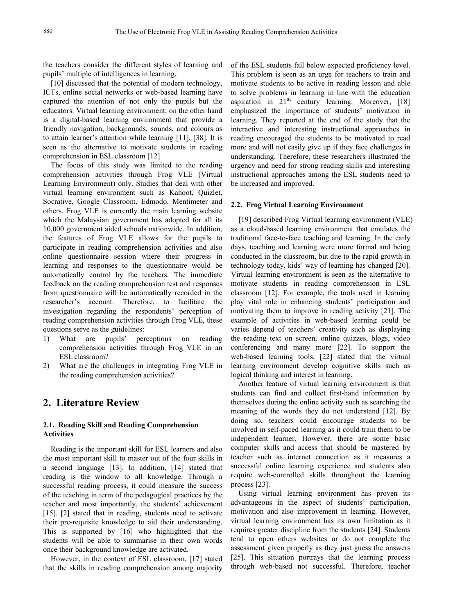the teachers consider the different styles of learning and pupils' multiple of intelligences in learning.

[10] discussed that the potential of modern technology, ICTs, online social networks or web-based learning have captured the attention of not only the pupils but the educators. Virtual learning environment, on the other hand is a digital-based learning environment that provide a friendly navigation, backgrounds, sounds, and colours as to attain learner's attention while learning [11], [38]. It is seen as the alternative to motivate students in reading comprehension in ESL classroom [12]

The focus of this study was limited to the reading comprehension activities through Frog VLE (Virtual Learning Environment) only. Studies that deal with other virtual learning environment such as Kahoot, Quizlet, Socrative, Google Classroom, Edmodo, Mentimeter and others. Frog VLE is currently the main learning website which the Malaysian government has adopted for all its 10,000 government aided schools nationwide. In addition, the features of Frog VLE allows for the pupils to participate in reading comprehension activities and also online questionnaire session where their progress in learning and responses to the questionnaire would be automatically control by the teachers. The immediate feedback on the reading comprehension test and responses from questionnaire will be automatically recorded in the researcher's account. Therefore, to facilitate the investigation regarding the respondents' perception of reading comprehension activities through Frog VLE, these questions serve as the guidelines:

- 1) What are pupils' perceptions on reading comprehension activities through Frog VLE in an ESL classroom?
- 2) What are the challenges in integrating Frog VLE in the reading comprehension activities?

# **2. Literature Review**

#### **2.1. Reading Skill and Reading Comprehension Activities**

Reading is the important skill for ESL learners and also the most important skill to master out of the four skills in a second language [13]. In addition, [14] stated that reading is the window to all knowledge. Through a successful reading process, it could measure the success of the teaching in term of the pedagogical practices by the teacher and most importantly, the students' achievement [15]. [2] stated that in reading, students need to activate their pre-requisite knowledge to aid their understanding. This is supported by [16] who highlighted that the students will be able to summarise in their own words once their background knowledge are activated.

However, in the context of ESL classroom, [17] stated that the skills in reading comprehension among majority of the ESL students fall below expected proficiency level. This problem is seen as an urge for teachers to train and motivate students to be active in reading lesson and able to solve problems in learning in line with the education aspiration in  $21<sup>st</sup>$  century learning. Moreover, [18] emphasized the importance of students' motivation in learning. They reported at the end of the study that the interactive and interesting instructional approaches in reading encouraged the students to be motivated to read more and will not easily give up if they face challenges in understanding. Therefore, these researchers illustrated the urgency and need for strong reading skills and interesting instructional approaches among the ESL students need to be increased and improved.

#### **2.2. Frog Virtual Learning Environment**

[19] described Frog Virtual learning environment (VLE) as a cloud-based learning environment that emulates the traditional face-to-face teaching and learning. In the early days, teaching and learning were more formal and being conducted in the classroom, but due to the rapid growth in technology today, kids' way of learning has changed [20]. Virtual learning environment is seen as the alternative to motivate students in reading comprehension in ESL classroom [12]. For example, the tools used in learning play vital role in enhancing students' participation and motivating them to improve in reading activity [21]. The example of activities in web-based learning could be varies depend of teachers' creativity such as displaying the reading text on screen, online quizzes, blogs, video conferencing and many more [22]. To support the web-based learning tools, [22] stated that the virtual learning environment develop cognitive skills such as logical thinking and interest in learning.

Another feature of virtual learning environment is that students can find and collect first-hand information by themselves during the online activity such as searching the meaning of the words they do not understand [12]. By doing so, teachers could encourage students to be involved in self-paced learning as it could train them to be independent learner. However, there are some basic computer skills and access that should be mastered by teacher such as internet connection as it measures a successful online learning experience and students also require web-controlled skills throughout the learning process [23].

Using virtual learning environment has proven its advantageous in the aspect of students' participation, motivation and also improvement in learning. However, virtual learning environment has its own limitation as it requires greater discipline from the students [24]. Students tend to open others websites or do not complete the assessment given properly as they just guess the answers  $[25]$ . This situation portrays that the learning process through web-based not successful. Therefore, teacher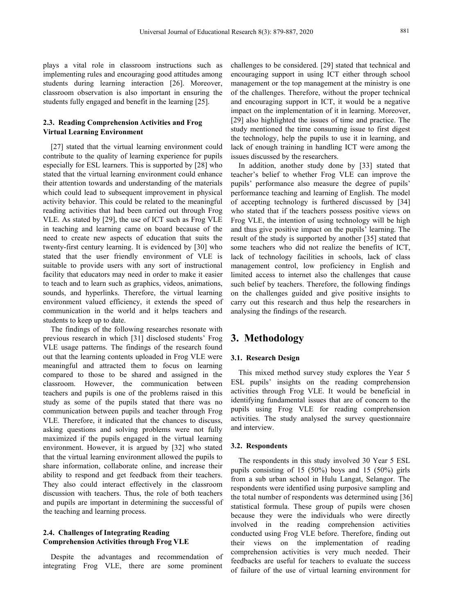plays a vital role in classroom instructions such as implementing rules and encouraging good attitudes among students during learning interaction [26]. Moreover, classroom observation is also important in ensuring the students fully engaged and benefit in the learning [25].

## **2.3. Reading Comprehension Activities and Frog Virtual Learning Environment**

[27] stated that the virtual learning environment could contribute to the quality of learning experience for pupils especially for ESL learners. This is supported by [28] who stated that the virtual learning environment could enhance their attention towards and understanding of the materials which could lead to subsequent improvement in physical activity behavior. This could be related to the meaningful reading activities that had been carried out through Frog VLE. As stated by [29], the use of ICT suchas Frog VLE in teaching and learning came on board because of the need to create new aspects of education that suits the twenty-first century learning. It is evidenced by [30] who stated that the user friendly environment of VLE is suitable to provide users with any sort of instructional facility that educators may need in order to make it easier to teach and to learn such as graphics, videos, animations, sounds, and hyperlinks. Therefore, the virtual learning environment valued efficiency, it extends the speed of communication in the world and it helps teachers and students to keep up to date.

The findings of the following researches resonate with previous research in which [31] disclosed students' Frog VLE usage patterns. The findings of the research found out that the learning contents uploaded in Frog VLE were meaningful and attracted them to focus on learning compared to those to be shared and assigned in the classroom. However, the communication between teachers and pupils is one of the problems raised in this study as some of the pupils stated that there was no communication between pupils and teacher through Frog VLE. Therefore, it indicated that the chances to discuss, asking questions and solving problems were not fully maximized if the pupils engaged in the virtual learning environment. However, it is argued by [32] who stated that the virtual learning environment allowed the pupils to share information, collaborate online, and increase their ability to respond and get feedback from their teachers. They also could interact effectively in the classroom discussion with teachers. Thus, the role of both teachers and pupils are important in determining the successful of the teaching and learning process.

### **2.4. Challenges ofIntegrating Reading Comprehension Activities through Frog VLE**

Despite the advantages and recommendation of integrating Frog VLE, there are some prominent

challenges to be considered. [29] stated that technical and encouraging support in using ICT either through school management or the top management at the ministry is one of the challenges. Therefore, without the proper technical and encouraging support in ICT, it would be a negative impact on the implementation of it in learning. Moreover, [29] also highlighted the issues of time and practice. The study mentioned the time consuming issue to first digest the technology, help the pupils to use it in learning, and lack of enough training in handling ICT were among the issues discussed by the researchers.

In addition, another study done by [33] stated that teacher's belief to whether Frog VLE can improve the pupils' performance also measure the degree of pupils' performance teaching and learning of English. The model of accepting technology is furthered discussed by [34] who stated that if the teachers possess positive views on Frog VLE, the intention of using technology will be high and thus give positive impact on the pupils' learning. The result of the study is supported by another [35] stated that some teachers who did not realize the benefits of ICT, lack of technology facilities in schools, lack of class management control, low proficiency in English and limited access to internet also the challenges that cause such belief by teachers. Therefore, the following findings on the challenges guided and give positive insights to carry out this research and thus help the researchers in analysing the findings of the research.

# **3. Methodology**

#### **3.1. Research Design**

This mixed method survey study explores the Year 5 ESL pupils' insights on the reading comprehension activities through Frog VLE. It would be beneficial in identifying fundamental issues that are of concern to the pupils using Frog VLE for reading comprehension activities. The study analysed the survey questionnaire and interview.

#### **3.2. Respondents**

The respondents in this study involved 30 Year 5 ESL pupils consisting of 15 (50%) boys and 15 (50%) girls from a sub urban school in Hulu Langat, Selangor. The respondents were identified using purposive sampling and the total number of respondents was determined using [36] statistical formula. These group of pupils were chosen because they were the individuals who were directly involved in the reading comprehension activities conducted using Frog VLE before. Therefore, finding out their views on the implementation of reading comprehension activities is very much needed. Their feedbacks are useful for teachers to evaluate the success of failure of the use of virtual learning environment for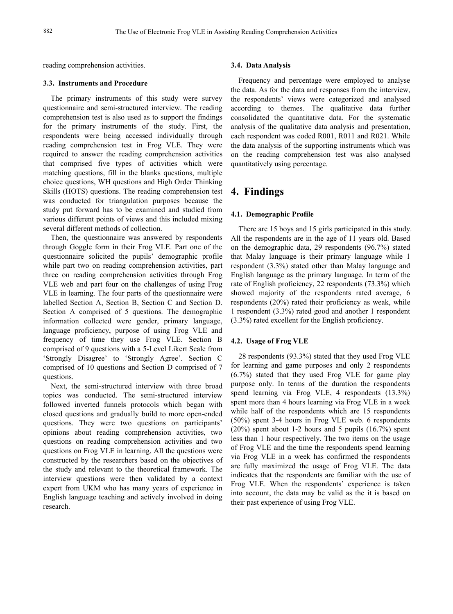reading comprehension activities.

#### **3.3. Instruments and Procedure**

The primary instruments of this study were survey questionnaire and semi-structured interview. The reading comprehension test is also used as to support the findings for the primary instruments of the study. First, the respondents were being accessed individually through reading comprehension test in Frog VLE. They were required to answer the reading comprehension activities that comprised five types of activities which were matching questions, fill in the blanks questions, multiple choice questions, WH questions and High Order Thinking Skills (HOTS) questions. The reading comprehension test was conducted for triangulation purposes because the study put forward has to be examined and studied from various different points of views and this included mixing several different methods of collection.

Then, the questionnaire was answered by respondents through Goggle form in their Frog VLE. Part one of the questionnaire solicited the pupils' demographic profile while part two on reading comprehension activities, part three on reading comprehension activities through Frog VLE web and part four on the challenges of using Frog. VLE in learning. The four parts of the questionnaire were labelled Section A, Section B, Section C and Section D. Section A comprised of 5 questions. The demographic information collected were gender, primary language, language proficiency, purpose of using Frog VLE and frequency of time they use Frog VLE. Section B comprised of 9 questions with a 5-Level Likert Scale from 'Strongly Disagree' to 'Strongly Agree'. Section C comprised of 10 questions and Section D comprised of 7 questions.

Next, the semi-structured interview with three broad topics was conducted. The semi-structured interview followed inverted funnels protocols which began with closed questions and gradually build to more open-ended questions. They were two questions on participants' opinions about reading comprehension activities, two questions on reading comprehension activities and two questions on Frog VLE in learning. All the questions were constructed by the researchers based on the objectives of the study and relevant to the theoretical framework. The interview questions were then validated by a context expert from UKM who has many years of experience in English language teaching and actively involved in doing research.

#### **3.4. Data Analysis**

Frequency and percentage were employed to analyse the data. As for the data and responses from the interview, the respondents' views were categorized and analysed according to themes. The qualitative data further consolidated the quantitative data. For the systematic analysis of the qualitative data analysis and presentation, each respondent was coded R001, R011 and R021. While the data analysis of the supporting instruments which was on the reading comprehension test was also analysed quantitatively using percentage.

# **4. Findings**

#### **4.1. Demographic Profile**

There are 15 boys and 15 girls participated in this study. All the respondents are in the age of 11 years old. Based on the demographic data, 29 respondents (96.7%) stated that Malay language is their primary language while 1 respondent (3.3%) stated other than Malay language and English language as the primary language. In term of the rate of English proficiency, 22 respondents (73.3%) which showed majority of the respondents rated average, 6 respondents (20%) rated their proficiency as weak, while 1 respondent (3.3%) rated good and another 1 respondent (3.3%) rated excellent for the English proficiency.

#### **4.2. Usage of Frog VLE**

28 respondents (93.3%) stated that they used Frog VLE for learning and game purposes and only 2 respondents (6.7%) stated that they used Frog VLE for game play purpose only. In terms of the duration the respondents spend learning via Frog VLE, 4 respondents (13.3%) spent more than 4 hours learning via Frog VLE in a week while half of the respondents which are 15 respondents (50%) spent 3-4 hours in Frog VLE web.6 respondents  $(20\%)$  spent about 1-2 hours and 5 pupils  $(16.7\%)$  spent less than 1 hour respectively. The two items on the usage of Frog VLE and the time the respondents spend learning via Frog VLE in a week has confirmed the respondents are fully maximized the usage of Frog VLE. The data indicates that the respondents are familiar with the use of Frog VLE. When the respondents' experience is taken into account, the data may be valid as the it is based on their past experience of using Frog VLE.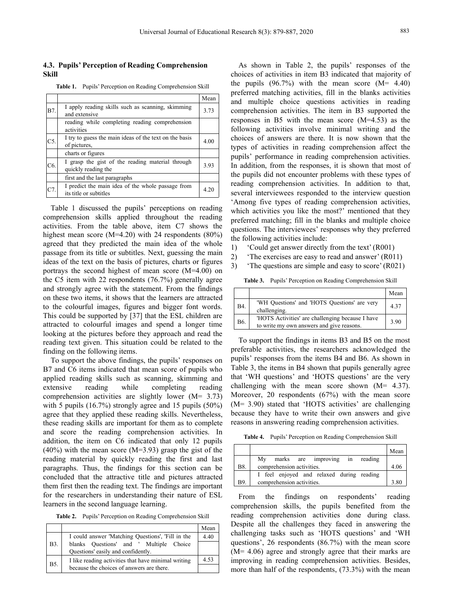#### **4.3. Pupils' Perception of Reading Comprehension Skill**

**Table 1.** Pupils' Perception on Reading Comprehension Skill

| B7.            | I apply reading skills such as scanning, skimming<br>and extensive<br>reading while completing reading comprehension<br>activities | Mean<br>3.73 | professional material<br>and multiple of<br>comprehension a<br>responses in B5<br>following activi<br>choices of answ<br>types of activiti |
|----------------|------------------------------------------------------------------------------------------------------------------------------------|--------------|--------------------------------------------------------------------------------------------------------------------------------------------|
| C <sub>5</sub> | I try to guess the main ideas of the text on the basis<br>of pictures.                                                             | 4.00         |                                                                                                                                            |
|                | charts or figures                                                                                                                  |              | pupils' performa                                                                                                                           |
| C <sub>6</sub> | I grasp the gist of the reading material through<br>quickly reading the                                                            | 3.93         | In addition, from                                                                                                                          |
|                | first and the last paragraphs                                                                                                      |              | the pupils did no                                                                                                                          |
| C7.            | I predict the main idea of the whole passage from<br>its title or subtitles                                                        | 4.20         | reading compre<br>several interviev                                                                                                        |

Table 1 discussed the pupils' perceptions on reading comprehension skills applied throughout the reading activities. From the table above, item C7 shows the highest mean score (M=4.20) with 24 respondents (80%) agreed that they predicted the main idea of the whole  $\begin{bmatrix} 1 \end{bmatrix}$ passage from its title or subtitles. Next, guessing the main  $\frac{1}{2}$ ideas of the text on the basis of pictures, charts or figures  $\frac{27}{3}$ portrays the second highest of mean score (M=4.00) on the C5 item with 22 respondents (76.7%) generally agree and strongly agree with the statement. From the findings on these two items, it shows that the learners are attracted to the colourful images, figures and bigger font words. This could be supported by [37] that the ESL children are attracted to colourful images and spend a longer time looking at the pictures before they approach and read the reading text given.This situation could be related to the finding on the following items.

To support the above findings, the pupils' responses on B7 and C6 items indicated that mean score of pupils who applied reading skills such as scanning, skimming and comprehension activities are slightly lower (M= 3.73) with 5 pupils (16.7%) strongly agree and 15 pupils (50%) agree that they applied these reading skills. Nevertheless, these reading skills are important for them as to complete and score the reading comprehension activities. In addition, the item on C6 indicated that only 12 pupils  $(40\%)$  with the mean score  $(M=3.93)$  grasp the gist of the reading material by quickly reading the first and last paragraphs. Thus, the findings for this section can be concluded that the attractive title and pictures attracted them first then the reading text. The findings are important for the researchers in understanding their nature of ESL learners in the second language learning.

**Table 2.** Pupils' Perception on Reading Comprehension Skill

|             |                                                                                                  | Mean | Despite all t                |
|-------------|--------------------------------------------------------------------------------------------------|------|------------------------------|
| <b>B</b> 3. | I could answer 'Matching Questions', 'Fill in the<br>blanks Questions' and ' Multiple Choice     | 4.40 | challenging<br>questions', 2 |
|             | Questions' easily and confidently.                                                               |      | $(M=4.06)$ as                |
| <b>B5.</b>  | I like reading activities that have minimal writing<br>because the choices of answers are there. | 4.53 | improving in<br>more than ha |

Mean and multiple choice questions activities in reading and extensive  $\begin{vmatrix} 3.73 \end{vmatrix}$  comprehension activities. The item in B3 supported the  $\frac{1}{2}$  and  $\frac{1}{2}$  and  $\frac{1}{2}$  and  $\frac{1}{2}$  and  $\frac{1}{2}$  in addition, from the responses, it is shown that most of quickly reading the  $\left| \begin{array}{c} 4.20 \\ 4.20 \end{array} \right|$  several interviewees responded to the interview question As shown in Table 2, the pupils' responses of the choices of activities in item B3 indicated that majority of the pupils  $(96.7\%)$  with the mean score  $(M= 4.40)$ preferred matching activities, fill in the blanks activities responses in B5 with the mean score (M=4.53) as the following activities involve minimal writing and the choices of answers are there. It is now shown that the types of activities in reading comprehension affect the pupils' performance in reading comprehension activities. the pupils did not encounter problems with these types of reading comprehension activities. In addition to that, 'Among five types of reading comprehension activities, which activities you like the most?' mentioned that they preferred matching; fill in the blanks and multiple choice questions. The interviewees' responses why they preferred the following activities include:

- 1) 'Could get answer directly from the text' (R001)
- 2) 'The exercises are easy to read and answer' (R011)
- The questions are simple and easy to score' (R021)

**Table 3.** Pupils' Perception on Reading Comprehension Skill

|            |                                                                                               | Mean |
|------------|-----------------------------------------------------------------------------------------------|------|
| <b>B4.</b> | 'WH Questions' and 'HOTS Questions' are very<br>challenging.                                  | 4.37 |
| <b>B6.</b> | 'HOTS Activities' are challenging because I have<br>to write my own answers and give reasons. | 3.90 |

extensive reading while completing reading challenging with the mean score shown (M= 4.37). To support the findings in items B3 and B5 on the most preferable activities, the researchers acknowledged the pupils' responses from the items B4 and B6. As shown in Table 3, the items in B4 shown that pupils generally agree that 'WH questions' and 'HOTS questions' are the very Moreover, 20 respondents (67%) with the mean score (M= 3.90) stated that 'HOTS activities' are challenging because they have to write their own answers and give reasons in answering reading comprehension activities.

**Table 4.** Pupils' Perception on Reading Comprehension Skill

|            |                                                           | Mean |
|------------|-----------------------------------------------------------|------|
|            | Mv<br>reading<br>marks<br>are improving<br><sub>1</sub> n |      |
| <b>B8.</b> | comprehension activities.                                 | 4.06 |
|            | I feel enjoyed and relaxed during reading                 |      |
| <b>B</b> 9 | comprehension activities.                                 | 3.80 |

 $\overline{\text{Mean}}$  Despite all the challenges they faced in answering the on respondents' reading comprehension skills, the pupils benefited from the reading comprehension activities done during class. challenging tasks such as 'HOTS questions' and 'WH questions', 26 respondents (86.7%) with the mean score (M= 4.06) agree and strongly agree that their marks are improving in reading comprehension activities. Besides, more than half of the respondents, (73.3%) with the mean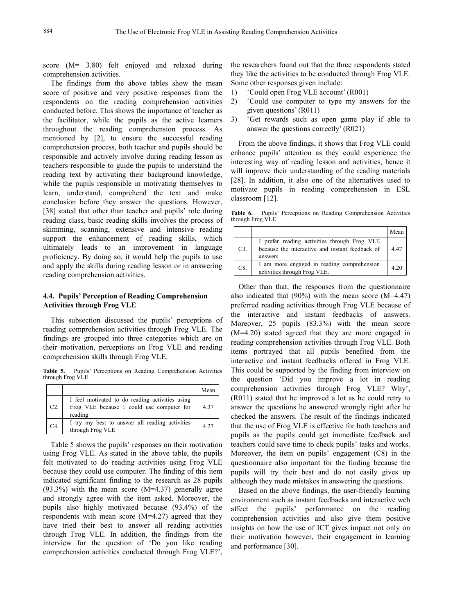score (M= 3.80) felt enjoyed and relaxed during comprehension activities.

The findings from the above tables show the mean score of positive and very positive responses from the 1) respondents on the reading comprehension activities 2) conducted before. This shows the importance of teacher as the facilitator, while the pupils as the active learners 3) throughout the reading comprehension process. As mentioned by [2], to ensure the successful reading comprehension process, both teacher and pupils should be responsible and actively involve during reading lesson as teachers responsible to guide the pupils to understand the reading text by activating their background knowledge, while the pupils responsible in motivating themselves to learn, understand, comprehend the text and make conclusion before they answer the questions. However, [38] stated that other than teacher and pupils' role during Table 6. reading class, basic reading skills involves the process of skimming, scanning, extensive and intensive reading support the enhancement of reading skills, which ultimately leads to an improvement in language proficiency. By doing so, it would help the pupils to use and apply the skills during reading lesson or in answering reading comprehension activities.

#### **4.4. Pupils' Perception of Reading Comprehension Activities through Frog VLE**

This subsection discussed the pupils' perceptions of reading comprehension activities through Frog VLE. The findings are grouped into three categories which are on their motivation, perceptions on Frog VLE and reading comprehension skills through Frog VLE.

**Table 5.** Pupils' Perceptions on Reading Comprehension Activities through Frog VLE

|        |                                                                                                         | Mean | comp.                                         |
|--------|---------------------------------------------------------------------------------------------------------|------|-----------------------------------------------|
| C2.    | I feel motivated to do reading activities using<br>Frog VLE because 1 could use computer for<br>reading | 4.37 | (R011)<br>answe<br>check<br>that th<br>munite |
| $C4$ . | I try my best to answer all reading activities<br>through Frog VLE                                      | 4.27 |                                               |

Table 5 shows the pupils' responses on their motivation using Frog VLE. As stated in the above table, the pupils felt motivated to do reading activities using Frog VLE because they could use computer. The finding of this item indicated significant finding to the research as 28 pupils (93.3%) with the mean score (M=4.37) generally agree and strongly agree with the item asked. Moreover, the pupils also highly motivated because (93.4%) of the affect the pupils' respondents with mean score (M=4.27) agreed that they have tried their best to answer all reading activities through Frog VLE. In addition, the findings from the interview for the question of 'Do you like reading comprehension activities conducted through Frog VLE?',

the researchers found out that the three respondents stated they like the activities to be conducted through Frog VLE. Some other responses given include:

- 1) 'Could open Frog VLE account' (R001)
- 2) 'Could use computer to type my answers for the given questions' (R011)
- 3) 'Get rewards such as open game play if able to answer the questions correctly' (R021)

From the above findings, it shows that Frog VLE could enhance pupils' attention as they could experience the interesting way of reading lesson and activities, hence it will improve their understanding of the reading materials [28]. In addition, it also one of the alternatives used to motivate pupils in reading comprehension in ESL classroom [12].

**Table 6.** Pupils' Perceptions on Reading Comprehension Activities through Frog VLE

|    |                                                                                                             | Mean |
|----|-------------------------------------------------------------------------------------------------------------|------|
| C3 | I prefer reading activities through Frog VLE<br>because the interactive and instant feedback of<br>answers. | 4.47 |
| C8 | I am more engaged in reading comprehension<br>activities through Frog VLE.                                  | 4.20 |

 $Mean$  comprehension activities through Frog VLE? Why', 4.37 answer the questions he answered wrongly right after he 4.27 that the use of Frog VLE is effective for both teachers and Other than that, the responses from the questionnaire also indicated that  $(90\%)$  with the mean score  $(M=4.47)$ preferred reading activities through Frog VLE because of the interactive and instant feedbacks of answers. Moreover, 25 pupils (83.3%) with the mean score (M=4.20) stated agreed that they are more engaged in reading comprehension activities through Frog VLE. Both items portrayed that all pupils benefited from the interactive and instant feedbacks offered in Frog VLE. This could be supported by the finding from interview on the question 'Did you improve a lot in reading (R011) stated that he improved a lot as he could retry to checked the answers. The result of the findings indicated pupils as the pupils could get immediate feedback and teachers could save time to check pupils' tasks and works. Moreover, the item on pupils' engagement (C8) in the questionnaire also important for the finding because the pupils will try their best and do not easily gives up although they made mistakes in answering the questions.

> Based on the above findings, the user-friendly learning environment such as instant feedbacks and interactive web performance on the reading comprehension activities and also give them positive insights on how the use of ICT gives impact not only on their motivation however, their engagement in learning and performance [30].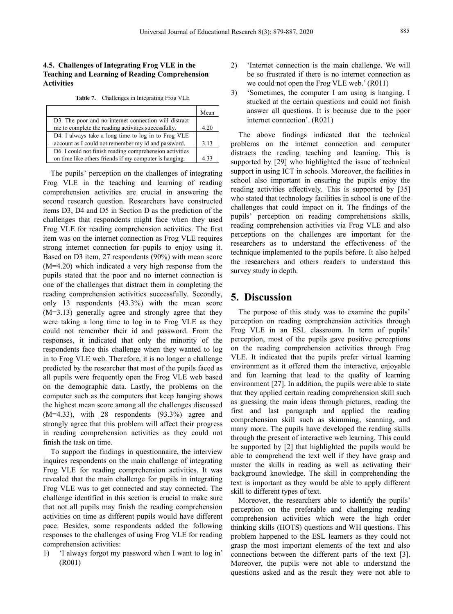## **4.5. Challenges ofIntegrating Frog VLE in the Teaching and Learning of Reading Comprehension Activities**

**Table 7.** Challenges in Integrating Frog VLE 3)

|                                                         | Mean | answer           |
|---------------------------------------------------------|------|------------------|
| D3. The poor and no internet connection will distract   |      | internet         |
| me to complete the reading activities successfully.     | 4.20 |                  |
| D4. I always take a long time to log in to Frog VLE     |      | The<br>aboy      |
| account as I could not remember my id and password.     | 3.13 | problems of      |
| D6. I could not finish reading comprehension activities |      | the<br>distracts |
| on time like others friends if my computer is hanging.  | 4.33 | supported by     |

The pupils' perception on the challenges of integrating Frog VLE in the teaching and learning of reading comprehension activities are crucial in answering the second research question. Researchers have constructed items D3, D4 and D5 in Section D asthe prediction of the challenges that respondents might face when they used Frog VLE for reading comprehension activities. The first item was on the internet connection as Frog VLE requires strong internet connection for pupils to enjoy using it. Based on D3 item, 27 respondents (90%) with mean score (M=4.20) which indicated a very high response from the pupils stated that the poor and no internet connection is one of the challenges that distract them in completing the reading comprehension activities successfully. Secondly, only 13 respondents (43.3%) with the mean score (M=3.13) generally agree and strongly agree that they were taking a long time to log in to Frog VLE as they could not remember their id and password. From the responses, it indicated that only the minority of the respondents face this challenge when they wanted to log in to Frog VLE web. Therefore, it is no longer a challenge predicted by the researcher that most of the pupils faced as all pupils were frequently open the Frog VLE web based on the demographic data. Lastly, the problems on the computer such as the computers that keep hanging shows the highest mean score among all the challenges discussed (M=4.33), with 28 respondents (93.3%) agree and strongly agree that this problem will affect their progress in reading comprehension activities as they could not finish the task on time.

To support the findings in questionnaire, the interview inquires respondents on the main challenge of integrating Frog VLE for reading comprehension activities. It was revealed that the main challenge for pupils in integrating Frog VLE was to get connected and stay connected.The challenge identified in this section is crucial to make sure that not all pupils may finish the reading comprehension activities on time as different pupils would have different pace. Besides, some respondents added the following responses to the challenges of using Frog VLE for reading comprehension activities:

1) 'I always forgot my password when I want to log in' (R001)

- 2) 'Internet connection is the main challenge. We will be so frustrated if there is no internet connection as we could not open the Frog VLE web.' (R011)
- Mean answer all questions. It is because due to the poor 3) 'Sometimes, the computer I am using is hanging. I stucked at the certain questions and could not finish internet connection'. (R021)

account as I could not remember my id and password. 3.13 problems on the internet connection and computer on time like others friends if my computer is hanging.  $\left(4.33\right)$  supported by [29] who highlighted the issue of technical The above findings indicated that the technical distracts the reading teaching and learning. This is support in using ICT in schools. Moreover, the facilities in school also important in ensuring the pupils enjoy the reading activities effectively. This is supported by [35] who stated that technology facilities in school is one of the challenges that could impact on it. The findings of the pupils' perception on reading comprehensions skills, reading comprehension activities via Frog VLE and also perceptions on the challenges are important for the researchers as to understand the effectiveness of the technique implemented to the pupils before. It also helped the researchers and others readers to understand this survey study in depth.

## **5. Discussion**

The purpose of this study was to examine the pupils' perception on reading comprehension activities through Frog VLE in an ESL classroom. In term of pupils' perception, most of the pupils gave positive perceptions on the reading comprehension activities through Frog VLE. It indicated that the pupils prefer virtual learning environment as it offered them the interactive, enjoyable and fun learning that lead to the quality of learning environment [27]. In addition, the pupils were able to state that they applied certain reading comprehension skill such as guessing the main ideas through pictures, reading the first and last paragraph and applied the reading comprehension skill such as skimming, scanning, and many more. The pupils have developed the reading skills through the present of interactive web learning. This could be supported by [2] that highlighted the pupils would be able to comprehend the text well if they have grasp and master the skills in reading as well as activating their background knowledge. The skill in comprehending the text is important as they would be able to apply different skill to different types of text.

Moreover, the researchers able to identify the pupils' perception on the preferable and challenging reading comprehension activities which were the high order thinking skills (HOTS) questions and WH questions. This problem happened to the ESL learners as they could not grasp the most important elements of the text and also connections between the different parts of the text [3]. Moreover, the pupils were not able to understand the questions asked and as the result they were not able to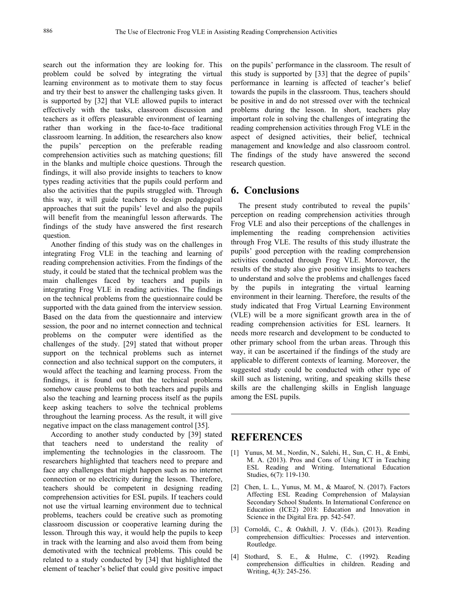search out the information they are looking for. This problem could be solved by integrating the virtual learning environment as to motivate them to stay focus and try their best to answer the challenging tasks given. It is supported by [32] that VLE allowed pupils to interact effectively with the tasks, classroom discussion and teachers as it offers pleasurable environment of learning rather than working in the face-to-face traditional classroom learning. In addition, the researchers also know the pupils' perception on the preferable reading comprehension activities such as matching questions; fill in the blanks and multiple choice questions. Through the findings, it will also provide insights to teachers to know types reading activities that the pupils could perform and also the activities that the pupils struggled with. Through this way, it will guide teachers to design pedagogical approaches that suit the pupils' level and also the pupils will benefit from the meaningful lesson afterwards. The findings of the study have answered the first research question.

Another finding of this study was on the challenges in integrating Frog VLE in the teaching and learning of reading comprehension activities. From the findings of the study, it could be stated that the technical problem was the main challenges faced by teachers and pupils in integrating Frog VLE in reading activities. The findings on the technical problems from the questionnaire could be supported with the data gained from the interview session. Based on the data from the questionnaire and interview session, the poor and no internet connection and technical problems on the computer were identified as the challenges of the study. [29] stated that without proper support on the technical problems such as internet connection and also technical support on the computers, it would affect the teaching and learning process. From the findings, it is found out that the technical problems somehow cause problems to both teachers and pupils and also the teaching and learning process itself as the pupils keep asking teachers to solve the technical problems throughout the learning process. As the result, it will give negative impact on the class management control [35].

According to another study conducted by [39] stated that teachers need to understand the reality of implementing the technologies in the classroom. The researchers highlighted that teachers need to prepare and face any challenges that might happen such as no internet connection or no electricity during the lesson.Therefore, teachers should be competent in designing reading comprehension activities for ESL pupils. If teachers could not use the virtual learning environment due to technical problems, teachers could be creative such as promoting classroom discussion or cooperative learning during the lesson. Through this way, it would help the pupils to keep in track with the learning and also avoid them from being demotivated with the technical problems. This could be related to a study conducted by  $[34]$  that highlighted the  $[4]$ related to a study conducted by [34] that highlighted the element of teacher's belief that could give positive impact

on the pupils' performance in the classroom. The result of this study is supported by [33] that the degree of pupils' performance in learning is affected of teacher's belief towards the pupils in the classroom. Thus, teachers should be positive in and do not stressed over with the technical problems during the lesson. In short, teachers play important role in solving the challenges of integrating the reading comprehension activities through Frog VLE in the aspect of designed activities, their belief, technical management and knowledge and also classroom control. The findings of the study have answered the second research question.

# **6. Conclusions**

The present study contributed to reveal the pupils' perception on reading comprehension activities through Frog VLE and also their perceptions of the challenges in implementing the reading comprehension activities through Frog VLE. The results of this study illustrate the pupils' good perception with the reading comprehension activities conducted through Frog VLE. Moreover, the results of the study also give positive insights to teachers to understand and solve the problems and challenges faced by the pupils in integrating the virtual learning environment in their learning. Therefore, the results of the study indicated that Frog Virtual Learning Environment (VLE) will be a more significant growth area in the of reading comprehension activities for ESL learners. It needs more research and development to be conducted to other primary school from the urban areas. Through this way, it can be ascertained if the findings of the study are applicable to different contexts of learning. Moreover, the suggested study could be conducted with other type of skill such as listening, writing, and speaking skills these skills are the challenging skills in English language among the ESL pupils.

## **REFERENCES**

- [1] Yunus, M. M., Nordin, N., Salehi, H., Sun, C. H., & Embi, M. A. (2013). Pros and Cons of Using ICT in Teaching ESL Reading and Writing. International Education Studies, 6(7): 119-130.
- [2] Chen, L. L., Yunus, M. M., & Maarof, N. (2017). Factors Affecting ESL Reading Comprehension of Malaysian Secondary School Students. In International Conference on Education (ICE2) 2018: Education and Innovation in Science in the Digital Era. pp. 542-547.
- [3] Cornoldi, C., & Oakhill, J. V. (Eds.). (2013). Reading comprehension difficulties: Processes and intervention. Routledge.
- Stothard, S. E., & Hulme, C. (1992). Reading comprehension difficulties in children. Reading and Writing, 4(3): 245-256.